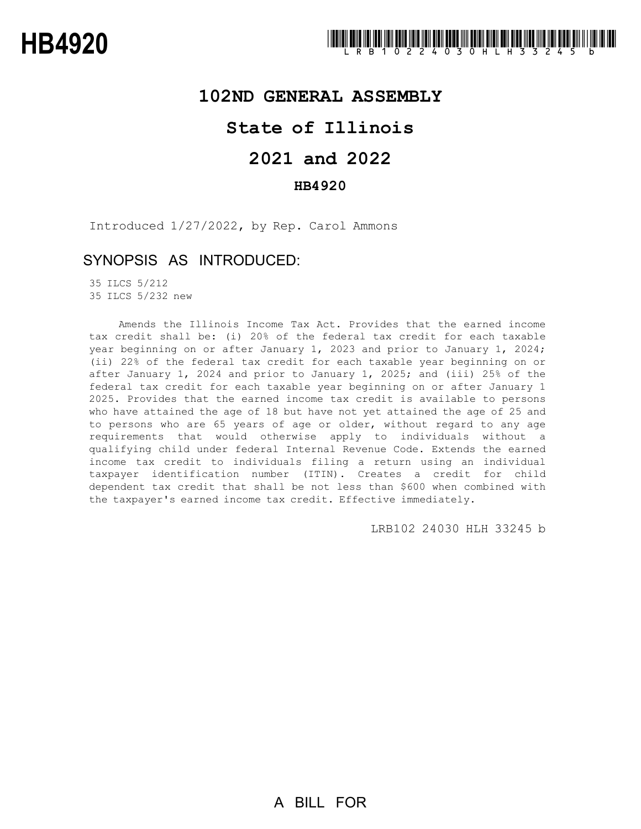### **102ND GENERAL ASSEMBLY**

## **State of Illinois**

# **2021 and 2022**

#### **HB4920**

Introduced 1/27/2022, by Rep. Carol Ammons

### SYNOPSIS AS INTRODUCED:

35 ILCS 5/212 35 ILCS 5/232 new

Amends the Illinois Income Tax Act. Provides that the earned income tax credit shall be: (i) 20% of the federal tax credit for each taxable year beginning on or after January 1, 2023 and prior to January 1, 2024; (ii) 22% of the federal tax credit for each taxable year beginning on or after January 1, 2024 and prior to January 1, 2025; and (iii) 25% of the federal tax credit for each taxable year beginning on or after January 1 2025. Provides that the earned income tax credit is available to persons who have attained the age of 18 but have not yet attained the age of 25 and to persons who are 65 years of age or older, without regard to any age requirements that would otherwise apply to individuals without a qualifying child under federal Internal Revenue Code. Extends the earned income tax credit to individuals filing a return using an individual taxpayer identification number (ITIN). Creates a credit for child dependent tax credit that shall be not less than \$600 when combined with the taxpayer's earned income tax credit. Effective immediately.

LRB102 24030 HLH 33245 b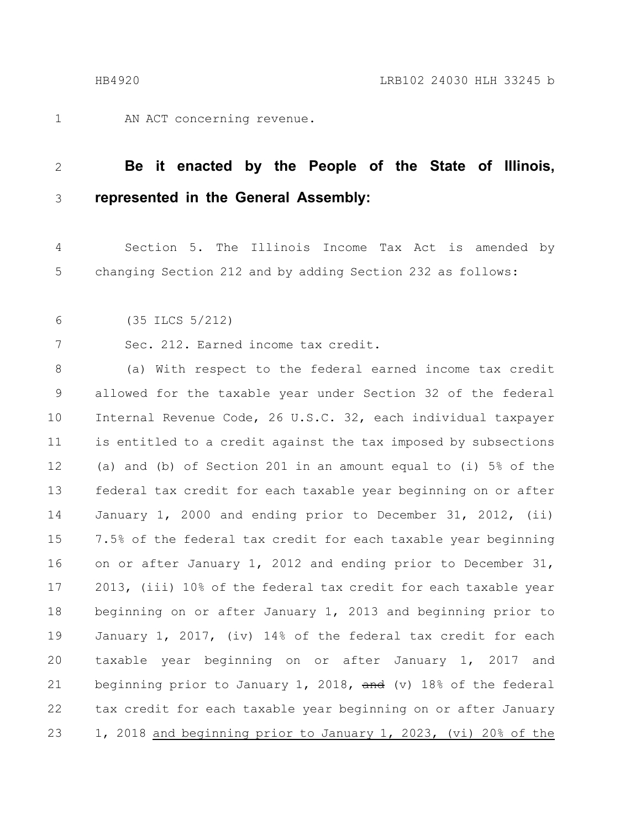### 1

AN ACT concerning revenue.

#### **Be it enacted by the People of the State of Illinois, represented in the General Assembly:** 2 3

Section 5. The Illinois Income Tax Act is amended by changing Section 212 and by adding Section 232 as follows: 4 5

#### (35 ILCS 5/212) 6

7

Sec. 212. Earned income tax credit.

(a) With respect to the federal earned income tax credit allowed for the taxable year under Section 32 of the federal Internal Revenue Code, 26 U.S.C. 32, each individual taxpayer is entitled to a credit against the tax imposed by subsections (a) and (b) of Section 201 in an amount equal to (i) 5% of the federal tax credit for each taxable year beginning on or after January 1, 2000 and ending prior to December 31, 2012, (ii) 7.5% of the federal tax credit for each taxable year beginning on or after January 1, 2012 and ending prior to December 31, 2013, (iii) 10% of the federal tax credit for each taxable year beginning on or after January 1, 2013 and beginning prior to January 1, 2017, (iv) 14% of the federal tax credit for each taxable year beginning on or after January 1, 2017 and beginning prior to January 1, 2018, and (v) 18% of the federal tax credit for each taxable year beginning on or after January 1, 2018 and beginning prior to January 1, 2023, (vi) 20% of the 8 9 10 11 12 13 14 15 16 17 18 19 20 21 22 23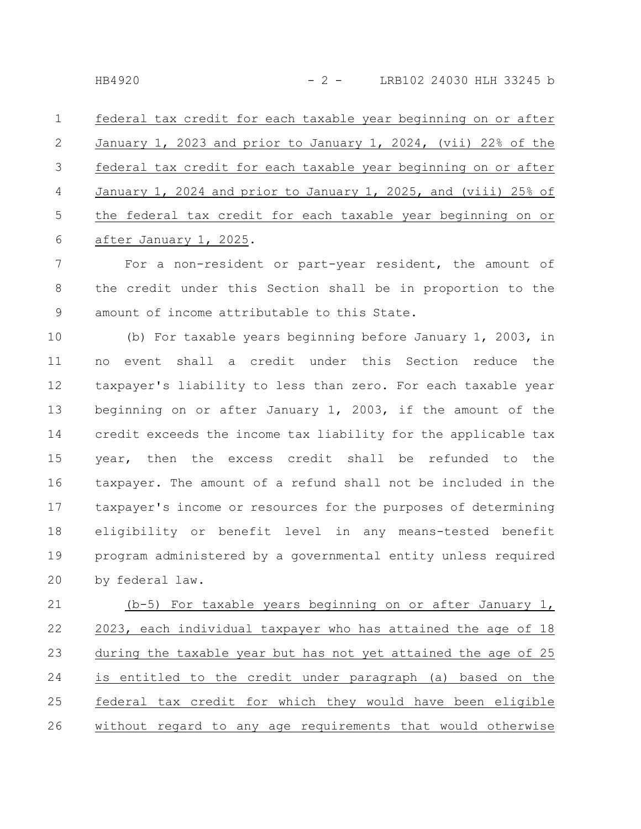federal tax credit for each taxable year beginning on or after January 1, 2023 and prior to January 1, 2024, (vii) 22% of the federal tax credit for each taxable year beginning on or after January 1, 2024 and prior to January 1, 2025, and (viii) 25% of the federal tax credit for each taxable year beginning on or after January 1, 2025. 1 2 3 4 5 6

For a non-resident or part-year resident, the amount of the credit under this Section shall be in proportion to the amount of income attributable to this State. 7 8 9

(b) For taxable years beginning before January 1, 2003, in no event shall a credit under this Section reduce the taxpayer's liability to less than zero. For each taxable year beginning on or after January 1, 2003, if the amount of the credit exceeds the income tax liability for the applicable tax year, then the excess credit shall be refunded to the taxpayer. The amount of a refund shall not be included in the taxpayer's income or resources for the purposes of determining eligibility or benefit level in any means-tested benefit program administered by a governmental entity unless required by federal law. 10 11 12 13 14 15 16 17 18 19 20

(b-5) For taxable years beginning on or after January 1, 2023, each individual taxpayer who has attained the age of 18 during the taxable year but has not yet attained the age of 25 is entitled to the credit under paragraph (a) based on the federal tax credit for which they would have been eligible without regard to any age requirements that would otherwise 21 22 23 24 25 26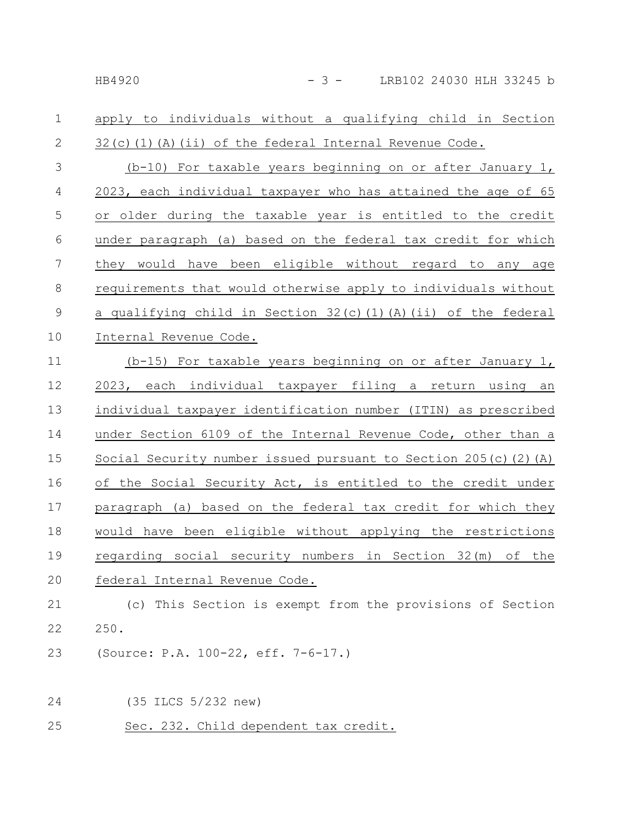#### apply to individuals without a qualifying child in Section  $32(c)(1)(A)(ii)$  of the federal Internal Revenue Code. 1 2

(b-10) For taxable years beginning on or after January 1, 2023, each individual taxpayer who has attained the age of 65 or older during the taxable year is entitled to the credit under paragraph (a) based on the federal tax credit for which they would have been eligible without regard to any age requirements that would otherwise apply to individuals without a qualifying child in Section  $32(c)(1)(A)(ii)$  of the federal Internal Revenue Code. 3 4 5 6 7 8 9 10

(b-15) For taxable years beginning on or after January 1, 2023, each individual taxpayer filing a return using an individual taxpayer identification number (ITIN) as prescribed under Section 6109 of the Internal Revenue Code, other than a Social Security number issued pursuant to Section 205(c)(2)(A) of the Social Security Act, is entitled to the credit under paragraph (a) based on the federal tax credit for which they would have been eligible without applying the restrictions regarding social security numbers in Section 32(m) of the federal Internal Revenue Code. 11 12 13 14 15 16 17 18 19 20

#### (c) This Section is exempt from the provisions of Section 250. 21 22

- (Source: P.A. 100-22, eff. 7-6-17.) 23
- (35 ILCS 5/232 new) 24
- Sec. 232. Child dependent tax credit. 25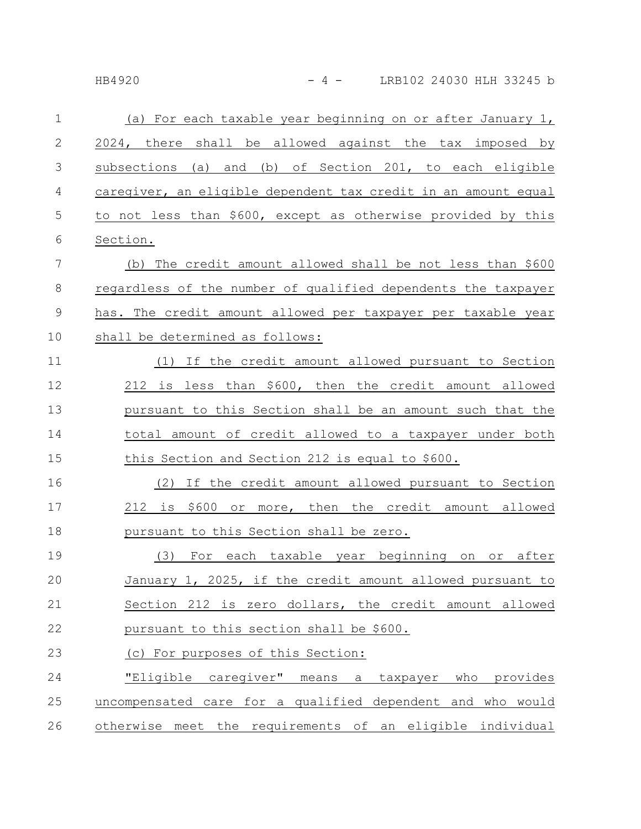| $\mathbf{1}$    | (a) For each taxable year beginning on or after January 1,     |
|-----------------|----------------------------------------------------------------|
| $\sqrt{2}$      | 2024, there shall be allowed against the tax imposed by        |
| $\mathcal{S}$   | subsections (a) and (b) of Section 201, to each eligible       |
| $\overline{4}$  | caregiver, an eligible dependent tax credit in an amount equal |
| 5               | to not less than \$600, except as otherwise provided by this   |
| $\sqrt{6}$      | Section.                                                       |
| $7\phantom{.0}$ | (b) The credit amount allowed shall be not less than \$600     |
| 8               | regardless of the number of qualified dependents the taxpayer  |
| $\mathsf 9$     | has. The credit amount allowed per taxpayer per taxable year   |
| 10              | shall be determined as follows:                                |
| 11              | (1) If the credit amount allowed pursuant to Section           |
| 12              | 212 is less than \$600, then the credit amount allowed         |
| 13              | pursuant to this Section shall be an amount such that the      |
| 14              | total amount of credit allowed to a taxpayer under both        |
| 15              | this Section and Section 212 is equal to \$600.                |
| 16              | If the credit amount allowed pursuant to Section<br>(2)        |
| 17              | 212 is \$600 or more, then the credit amount allowed           |
| 18              | pursuant to this Section shall be zero.                        |
| 19              | For each taxable year beginning on or after<br>(3)             |
| 20              | January 1, 2025, if the credit amount allowed pursuant to      |
| 21              | Section 212 is zero dollars, the credit amount allowed         |
|                 |                                                                |

- pursuant to this section shall be \$600. 22
- (c) For purposes of this Section: 23

"Eligible caregiver" means a taxpayer who provides uncompensated care for a qualified dependent and who would otherwise meet the requirements of an eligible individual 24 25 26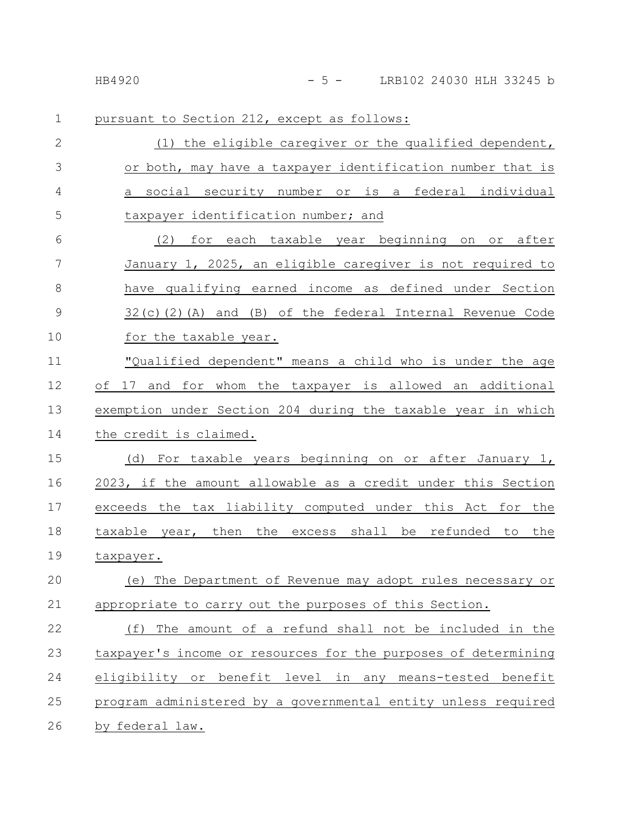|  |  |  |  |  |  |  | pursuant to Section 212, except as follows: |  |
|--|--|--|--|--|--|--|---------------------------------------------|--|
|--|--|--|--|--|--|--|---------------------------------------------|--|

| $\overline{2}$ | (1) the eligible caregiver or the qualified dependent,            |
|----------------|-------------------------------------------------------------------|
| 3              | or both, may have a taxpayer identification number that is        |
| 4              | a social security number or is a federal individual               |
| 5              | taxpayer identification number; and                               |
| 6              | (2) for each taxable year beginning on or after                   |
| 7              | January 1, 2025, an eligible caregiver is not required to         |
| 8              | have qualifying earned income as defined under Section            |
| $\mathcal{G}$  | $32(c)$ (2) (A) and (B) of the federal Internal Revenue Code      |
| 10             | for the taxable year.                                             |
| 11             | "Qualified dependent" means a child who is under the age          |
| 12             | of 17 and for whom the taxpayer is allowed an additional          |
| 13             | exemption under Section 204 during the taxable year in which      |
| 14             | the credit is claimed.                                            |
| 15             | (d) For taxable years beginning on or after January 1,            |
| 16             | 2023, if the amount allowable as a credit under this Section      |
| 17             | exceeds the tax liability computed under this Act for the         |
| 18             | taxable year, then the excess shall be refunded to the            |
| 19             | taxpayer.                                                         |
| 20             | (e) The Department of Revenue may adopt rules necessary or        |
| 21             | appropriate to carry out the purposes of this Section.            |
| 22             | The amount of a refund shall not be included in the<br>(f)        |
| 23             | taxpayer's income or resources for the purposes of determining    |
| 24             | eligibility or benefit<br>level in any<br>means-tested<br>benefit |
| 25             | program administered by a governmental entity unless required     |
| 26             | by federal law.                                                   |